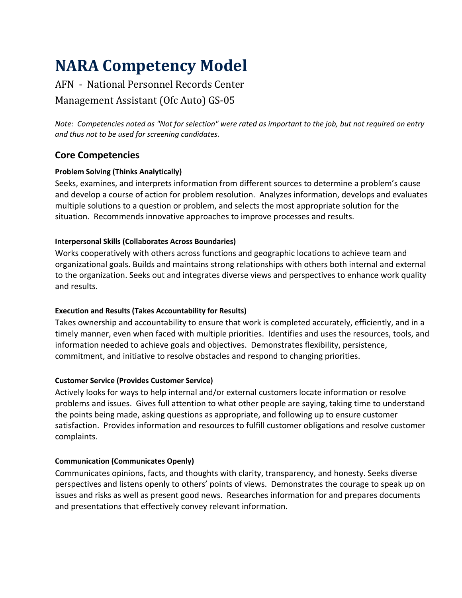# **NARA Competency Model**

# AFN - National Personnel Records Center Management Assistant (Ofc Auto) GS-05

*Note: Competencies noted as "Not for selection" were rated as important to the job, but not required on entry and thus not to be used for screening candidates.*

# **Core Competencies**

#### **Problem Solving (Thinks Analytically)**

Seeks, examines, and interprets information from different sources to determine a problem's cause and develop a course of action for problem resolution. Analyzes information, develops and evaluates multiple solutions to a question or problem, and selects the most appropriate solution for the situation. Recommends innovative approaches to improve processes and results.

#### **Interpersonal Skills (Collaborates Across Boundaries)**

Works cooperatively with others across functions and geographic locations to achieve team and organizational goals. Builds and maintains strong relationships with others both internal and external to the organization. Seeks out and integrates diverse views and perspectives to enhance work quality and results.

#### **Execution and Results (Takes Accountability for Results)**

Takes ownership and accountability to ensure that work is completed accurately, efficiently, and in a timely manner, even when faced with multiple priorities. Identifies and uses the resources, tools, and information needed to achieve goals and objectives. Demonstrates flexibility, persistence, commitment, and initiative to resolve obstacles and respond to changing priorities.

#### **Customer Service (Provides Customer Service)**

Actively looks for ways to help internal and/or external customers locate information or resolve problems and issues. Gives full attention to what other people are saying, taking time to understand the points being made, asking questions as appropriate, and following up to ensure customer satisfaction. Provides information and resources to fulfill customer obligations and resolve customer complaints.

#### **Communication (Communicates Openly)**

Communicates opinions, facts, and thoughts with clarity, transparency, and honesty. Seeks diverse perspectives and listens openly to others' points of views. Demonstrates the courage to speak up on issues and risks as well as present good news. Researches information for and prepares documents and presentations that effectively convey relevant information.